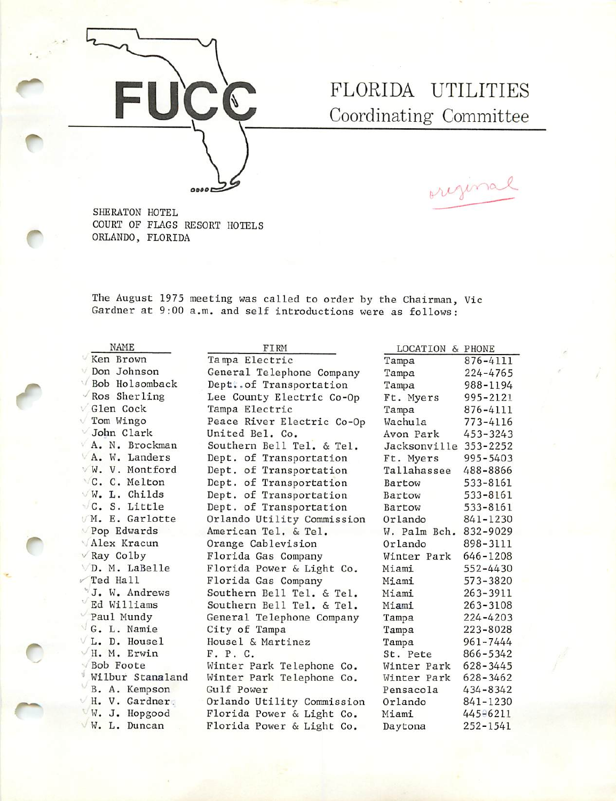

## FLORIDA UTILITIES Coordinating Committee

original

SHERATON HOTEL COURT OF FLAGS RESORT HOTELS ORLANDO, FLORIDA

The August 1975 meeting was called to order by the Chairman, Vic Gardner at 9:00 a.m. and self introductions were as follows:

NAME Ken Brown Don Johnson Y Bob Holsomback Ros Sherling Glen Cock Tom Wingo John Clark A. N. Brockman A. W. Landers ■' W. V. Montford • C. C. Melton  $\vee$  W. L. Childs C. S. Little M. E. Garlotte Pop Edwards 'Alex Kracun  $\vee$  Ray Colby VD. M. LaBelle  $\sqrt{\text{Ted Hall}}$ "J. W. Andrews Ed Williams ' Paul Mundy G. L. Namie L. D. Housel  $\vee$  H. M. Erwin Bob Foote ' Wilbur Stanaland B. A. Kempson H. V. Gardner. W. J. Hopgood W. L. Duncan

FIRM Dept. of Transportation Dept. of Transportation Dept. of Transportation Dept. of Transportation Tanpa Electric General Telephone Company Dept..of Transportation Lee County Electric Co-Op Tampa Electric Peace River Electric Co-Op United Bel. Co. Southern Bell Tel. & Tel. Dept. of Transportation Orlando Utility Commission American Tel. & Tel. Orange Cablevision Florida Gas Company Florida Power & Light Co. Florida Gas Company Southern Bell Tel. & Tel. Southern Bell Tel. & Tel. General Telephone Company City of Tampa Housel & Martinez F. P. C. Winter Park Telephone Co. Winter Park Telephone Co. Gulf Power Orlando Utility Commission Florida Power & Light Co. Florida Power & Light Co.

| LOCATION<br>$\delta$ | PHONE        |
|----------------------|--------------|
| Tampa                | 876-4111     |
| Tampa                | 224-4765     |
| Tampa                | 988-1194     |
| Ft. Myers            | 995-2121     |
| Tampa                | 876-4111     |
| Wachula              | 773-4116     |
| Avon Park            | 453-3243     |
| Jacksonville         | 353-2252     |
| Ft. Myers            | 995-5403     |
| Tallahassee          | 488-8866     |
| Bartow               | 533-8161     |
| Bartow               | 533-8161     |
| Bartow               | 533-8161     |
| Orlando              | 841-1230     |
| W. Palm Bch.         | 832-9029     |
| Orlando              | 898-3111     |
| Winter Park          | 646-1208     |
| Miami                | 552-4430     |
| Miami                | 573-3820     |
| Miami                | 263-3911     |
| Miami                | 263-3108     |
| Tampa                | 224-4203     |
| Tampa                | 223-8028     |
| Tampa                | $961 - 7444$ |
| St. Pete             | 866-5342     |
| Winter Park          | $628 - 3445$ |
| Winter Park          | 628-3462     |
| Pensacola            | 434-8342     |
| Orlando              | 841-1230     |
| Miami                | 445-6211     |
| Daytona              | 252-1541     |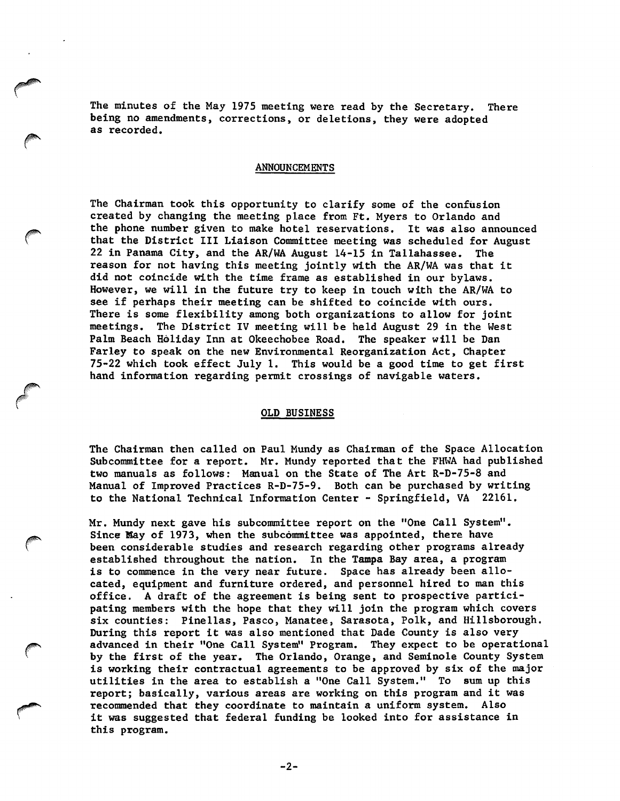The minutes of the May 1975 meeting were read by the Secretary. There being no amendments, corrections, or deletions, they were adopted as recorded.

## ANNOUNCEMENTS

The Chairman took this opportunity to clarify some of the confusion created by changing the meeting place from Ft. Myers to Orlando and the phone number given to make hotel reservations. It was also announced that the District III Liaison Committee meeting was scheduled for August 22 in Panama City, and the AR/WA August 14-15 in Tallahassee. The reason for not having this meeting jointly with the AR/WA was that it did not coincide with the time frame as established in our bylaws. However, we will in the future try to keep in touch with the AR/WA to see if perhaps their meeting can be shifted to coincide with ours. There is some flexibility among both organizations to allow for joint meetings. The District IV meeting will be held August 29 in the West Palm Beach Holiday Inn at Okeechobee Road. The speaker will be Dan Farley to speak on the new Environmental Reorganization Act, Chapter 75-22 which took effect July 1. This would be a good time to get first hand information regarding permit crossings of navigable waters.

## OLD BUSINESS

The Chairman then called on Paul Mundy as Chairman of the Space Allocation Subcommittee for a report. Mr. Mundy reported that the FHIVA had published two manuals as follows; Manual on the State of The Art R-D-75-8 and Manual of Improved Practices R-D-75-9. Both can be purchased by writing to the National Technical Information Center - Springfield, VA 22161.

Mr. Mundy next gave his subcommittee report on the "One Call System". Since May of 1973, when the subcommittee was appointed, there have been considerable studies and research regarding other programs already established throughout the nation. In the Tampa Bay area, a program is to commence in the very near future. Space has already been allo cated, equipment and furniture ordered, and personnel hired to man this office. A draft of the agreement is being sent to prospective partici pating members with the hope that they will join the program which covers six counties: Pinellas, Pasco, Manatee, Sarasota, Polk, and Hillsborough. During this report it was also mentioned that Dade County is also very advanced in their "One Call System" Program. They expect to be operational by the first of the year. The Orlando, Orange, and Seminole County System is working their contractual agreements to be approved by six of the major utilities in the area to establish a "One Call System." To sum up this report; basically, various areas are working on this program and it was recommended that they coordinate to maintain a uniform system. Also it was suggested that federal funding be looked into for assistance in this program.

 $-2-$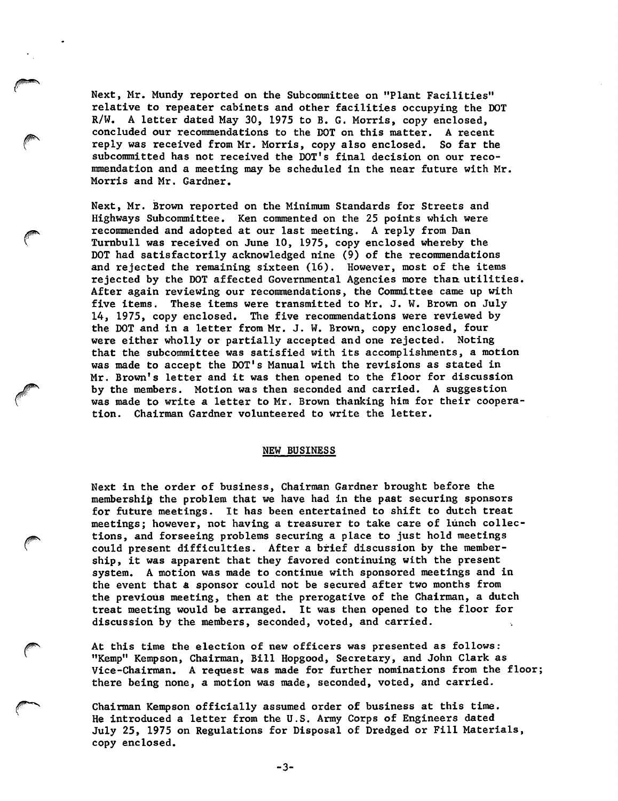Next, Mr. Mundy reported on the Subcommittee on "Plant Facilities" relative to repeater cabinets and other facilities occupying the DOT R/W. A letter dated May 30, 1975 to B. G. Morris, copy enclosed, concluded our recommendations to the DOT on this matter. A recent reply was received from Mr. Morris, copy also enclosed. So far the subcommitted has not received the DOT's final decision on our reco mmendation and a meeting may be scheduled in the near future with Mr. Morris and Mr. Gardner.

Next, Mr. Brown reported on the Minimum Standards for Streets and Highways Subcommittee. Ken commented on the 25 points which were recommended and adopted at our last meeting. A reply from Dan Tumbull was received on June 10, 1975, copy enclosed whereby the DOT had satisfactorily acknowledged nine (9) of the recommendations and rejected the remaining sixteen (16). However, most of the items rejected by the DOT affected Governmental Agencies more thaa utilities. After again reviewing our recommendations, the Committee came up with five items. These items were transmitted to Mr. J. W. Brown on July 14, 1975, copy enclosed. The five recommendations were reviewed by the DOT and in a letter from Mr. J. W. Brown, copy enclosed, four were either wholly or partially accepted and one rejected. Noting that the subcommittee was satisfied with its accomplishments, a motion was made to accept the DOT's Manual with the revisions as stated in Mr. Brown's letter and it was then opened to the floor for discussion by the members. Motion was then seconded and carried. A suggestion was made to write a letter to Mr. Brown thanking him for their coopera tion. Chairman Gardner volunteered to write the letter.

## NEW BUSINESS

Next in the order of business. Chairman Gardner brought before the membership the problem that we have had in the past securing sponsors for future meetings. It has been entertained to shift to dutch treat meetings; however, not having a treasurer to take care of lunch collections, and forseeing problems securing a place to just hold meetings could present difficulties. After a brief discussion by the member ship, it was apparent that they favored continuing with the present system. A motion was made to continue with sponsored meetings and in the event that a sponsor could not be secured after two months from the previous meeting, then at the prerogative of the Chairman, a dutch treat meeting would be arranged. It was then opened to the floor for discussion by the members, seconded, voted, and carried.

> At this time the election of new officers was presented as follows: "Kemp" Kempson, Chairman, Bill Hopgood, Secretary, and John Clark as Vice-chairman. A request was made for further nominations from the floor; there being none, a motion was made, seconded, voted, and carried.

Chairman Kempson officially assumed order of business at this time. He introduced a letter from the U.S. Army Corps of Engineers dated July 25, 1975 on Regulations for Disposal of Dredged or Fill Materials, copy enclosed.